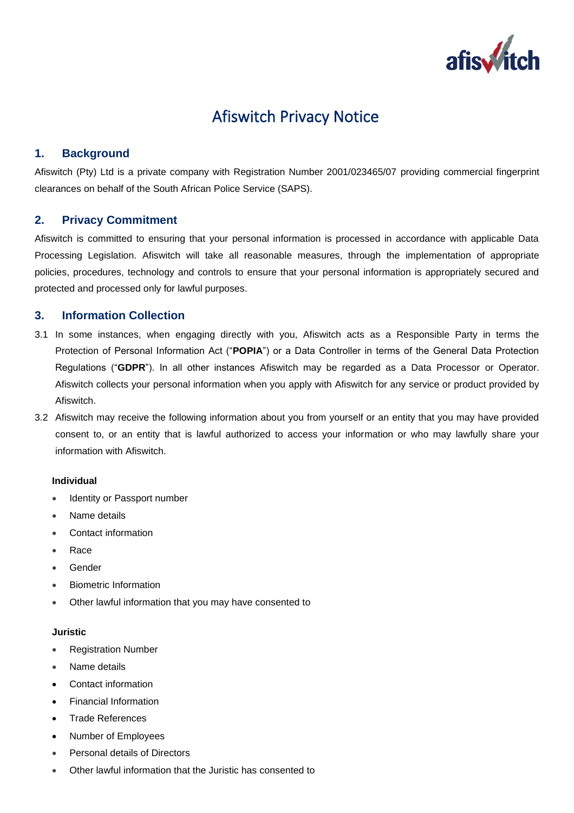

# Afiswitch Privacy Notice

# **1. Background**

Afiswitch (Pty) Ltd is a private company with Registration Number 2001/023465/07 providing commercial fingerprint clearances on behalf of the South African Police Service (SAPS).

## **2. Privacy Commitment**

Afiswitch is committed to ensuring that your personal information is processed in accordance with applicable Data Processing Legislation. Afiswitch will take all reasonable measures, through the implementation of appropriate policies, procedures, technology and controls to ensure that your personal information is appropriately secured and protected and processed only for lawful purposes.

## **3. Information Collection**

- 3.1 In some instances, when engaging directly with you, Afiswitch acts as a Responsible Party in terms the Protection of Personal Information Act ("**POPIA**") or a Data Controller in terms of the General Data Protection Regulations ("**GDPR**"). In all other instances Afiswitch may be regarded as a Data Processor or Operator. Afiswitch collects your personal information when you apply with Afiswitch for any service or product provided by Afiswitch.
- 3.2 Afiswitch may receive the following information about you from yourself or an entity that you may have provided consent to, or an entity that is lawful authorized to access your information or who may lawfully share your information with Afiswitch.

#### **Individual**

- Identity or Passport number
- Name details
- Contact information
- Race
- Gender
- Biometric Information
- Other lawful information that you may have consented to

#### **Juristic**

- Registration Number
- Name details
- Contact information
- Financial Information
- Trade References
- Number of Employees
- Personal details of Directors
- Other lawful information that the Juristic has consented to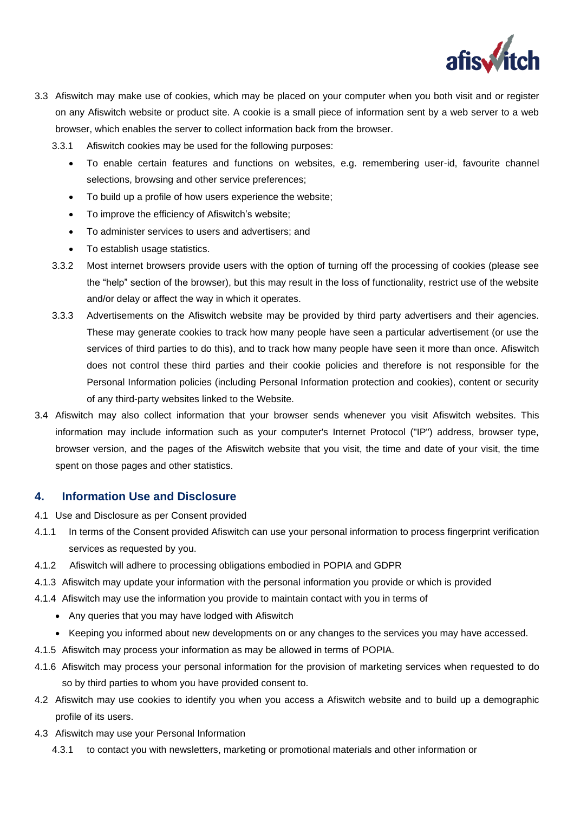

- 3.3 Afiswitch may make use of cookies, which may be placed on your computer when you both visit and or register on any Afiswitch website or product site. A cookie is a small piece of information sent by a web server to a web browser, which enables the server to collect information back from the browser.
	- 3.3.1 Afiswitch cookies may be used for the following purposes:
		- To enable certain features and functions on websites, e.g. remembering user-id, favourite channel selections, browsing and other service preferences;
		- To build up a profile of how users experience the website;
		- To improve the efficiency of Afiswitch's website;
		- To administer services to users and advertisers; and
		- To establish usage statistics.
	- 3.3.2 Most internet browsers provide users with the option of turning off the processing of cookies (please see the "help" section of the browser), but this may result in the loss of functionality, restrict use of the website and/or delay or affect the way in which it operates.
	- 3.3.3 Advertisements on the Afiswitch website may be provided by third party advertisers and their agencies. These may generate cookies to track how many people have seen a particular advertisement (or use the services of third parties to do this), and to track how many people have seen it more than once. Afiswitch does not control these third parties and their cookie policies and therefore is not responsible for the Personal Information policies (including Personal Information protection and cookies), content or security of any third-party websites linked to the Website.
- 3.4 Afiswitch may also collect information that your browser sends whenever you visit Afiswitch websites. This information may include information such as your computer's Internet Protocol ("IP") address, browser type, browser version, and the pages of the Afiswitch website that you visit, the time and date of your visit, the time spent on those pages and other statistics.

## **4. Information Use and Disclosure**

- 4.1 Use and Disclosure as per Consent provided
- 4.1.1 In terms of the Consent provided Afiswitch can use your personal information to process fingerprint verification services as requested by you.
- 4.1.2 Afiswitch will adhere to processing obligations embodied in POPIA and GDPR
- 4.1.3 Afiswitch may update your information with the personal information you provide or which is provided
- 4.1.4 Afiswitch may use the information you provide to maintain contact with you in terms of
	- Any queries that you may have lodged with Afiswitch
	- Keeping you informed about new developments on or any changes to the services you may have accessed.
- 4.1.5 Afiswitch may process your information as may be allowed in terms of POPIA.
- 4.1.6 Afiswitch may process your personal information for the provision of marketing services when requested to do so by third parties to whom you have provided consent to.
- 4.2 Afiswitch may use cookies to identify you when you access a Afiswitch website and to build up a demographic profile of its users.
- 4.3 Afiswitch may use your Personal Information
	- 4.3.1 to contact you with newsletters, marketing or promotional materials and other information or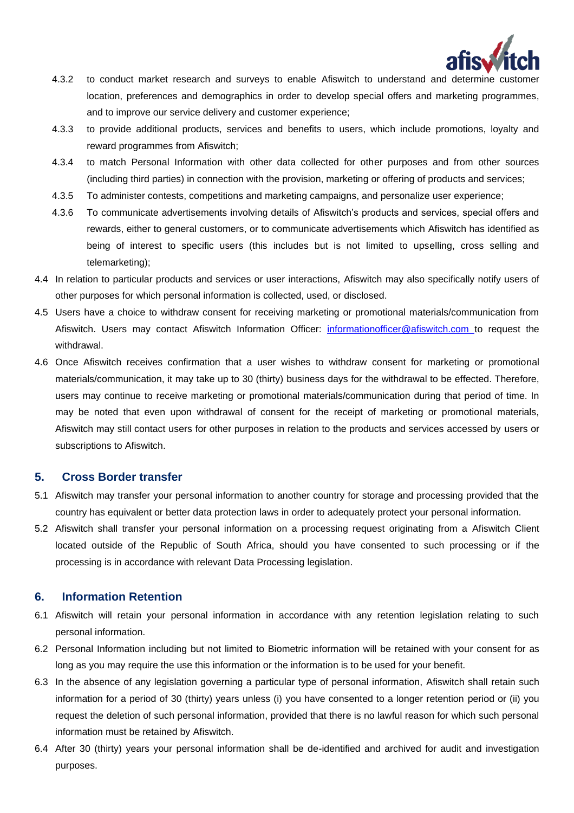

- 4.3.2 to conduct market research and surveys to enable Afiswitch to understand and determine customer location, preferences and demographics in order to develop special offers and marketing programmes, and to improve our service delivery and customer experience;
- 4.3.3 to provide additional products, services and benefits to users, which include promotions, loyalty and reward programmes from Afiswitch;
- 4.3.4 to match Personal Information with other data collected for other purposes and from other sources (including third parties) in connection with the provision, marketing or offering of products and services;
- 4.3.5 To administer contests, competitions and marketing campaigns, and personalize user experience;
- 4.3.6 To communicate advertisements involving details of Afiswitch's products and services, special offers and rewards, either to general customers, or to communicate advertisements which Afiswitch has identified as being of interest to specific users (this includes but is not limited to upselling, cross selling and telemarketing);
- 4.4 In relation to particular products and services or user interactions, Afiswitch may also specifically notify users of other purposes for which personal information is collected, used, or disclosed.
- 4.5 Users have a choice to withdraw consent for receiving marketing or promotional materials/communication from Afiswitch. Users may contact Afiswitch Information Officer: [informationofficer@afiswitch.com](mailto:informationofficer@afiswitch.com) to request the withdrawal.
- 4.6 Once Afiswitch receives confirmation that a user wishes to withdraw consent for marketing or promotional materials/communication, it may take up to 30 (thirty) business days for the withdrawal to be effected. Therefore, users may continue to receive marketing or promotional materials/communication during that period of time. In may be noted that even upon withdrawal of consent for the receipt of marketing or promotional materials, Afiswitch may still contact users for other purposes in relation to the products and services accessed by users or subscriptions to Afiswitch.

## **5. Cross Border transfer**

- 5.1 Afiswitch may transfer your personal information to another country for storage and processing provided that the country has equivalent or better data protection laws in order to adequately protect your personal information.
- 5.2 Afiswitch shall transfer your personal information on a processing request originating from a Afiswitch Client located outside of the Republic of South Africa, should you have consented to such processing or if the processing is in accordance with relevant Data Processing legislation.

## **6. Information Retention**

- 6.1 Afiswitch will retain your personal information in accordance with any retention legislation relating to such personal information.
- 6.2 Personal Information including but not limited to Biometric information will be retained with your consent for as long as you may require the use this information or the information is to be used for your benefit.
- 6.3 In the absence of any legislation governing a particular type of personal information, Afiswitch shall retain such information for a period of 30 (thirty) years unless (i) you have consented to a longer retention period or (ii) you request the deletion of such personal information, provided that there is no lawful reason for which such personal information must be retained by Afiswitch.
- 6.4 After 30 (thirty) years your personal information shall be de-identified and archived for audit and investigation purposes.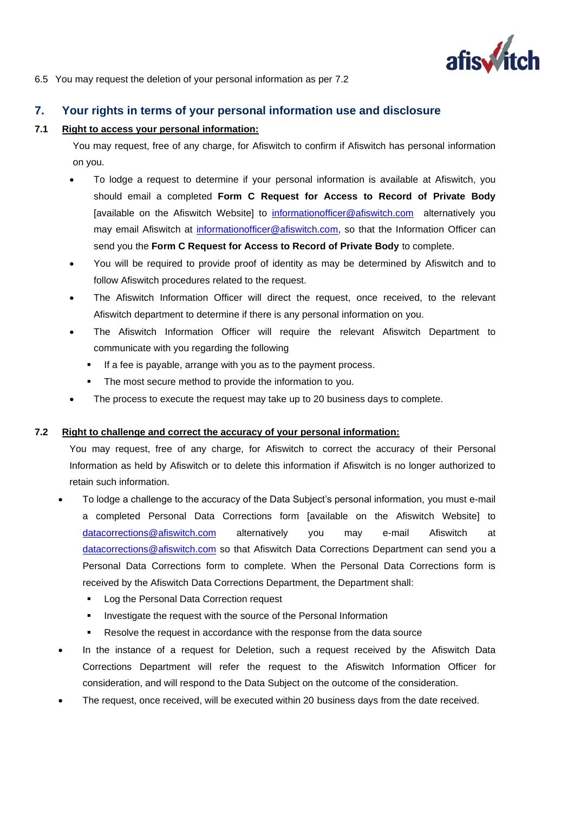

6.5 You may request the deletion of your personal information as per 7.2

# **7. Your rights in terms of your personal information use and disclosure**

#### **7.1 Right to access your personal information:**

You may request, free of any charge, for Afiswitch to confirm if Afiswitch has personal information on you.

- To lodge a request to determine if your personal information is available at Afiswitch, you should email a completed **Form C Request for Access to Record of Private Body**  [available on the Afiswitch Website] to [informationofficer@afiswitch.com](mailto:informationofficer@afiswitch.com) alternatively you may email Afiswitch at [informationofficer@afiswitch.com,](mailto:informationofficer@afiswitch.com) so that the Information Officer can send you the **Form C Request for Access to Record of Private Body** to complete.
- You will be required to provide proof of identity as may be determined by Afiswitch and to follow Afiswitch procedures related to the request.
- The Afiswitch Information Officer will direct the request, once received, to the relevant Afiswitch department to determine if there is any personal information on you.
- The Afiswitch Information Officer will require the relevant Afiswitch Department to communicate with you regarding the following
	- If a fee is payable, arrange with you as to the payment process.
	- The most secure method to provide the information to you.
- The process to execute the request may take up to 20 business days to complete.

#### **7.2 Right to challenge and correct the accuracy of your personal information:**

You may request, free of any charge, for Afiswitch to correct the accuracy of their Personal Information as held by Afiswitch or to delete this information if Afiswitch is no longer authorized to retain such information.

- To lodge a challenge to the accuracy of the Data Subject's personal information, you must e-mail a completed Personal Data Corrections form [available on the Afiswitch Website] to [datacorrections@afiswitch.com](mailto:datacorrections@afiswitch.com) alternatively you may e-mail Afiswitch at [datacorrections@afiswitch.com](mailto:datacorrections@afiswitch.com) so that Afiswitch Data Corrections Department can send you a Personal Data Corrections form to complete. When the Personal Data Corrections form is received by the Afiswitch Data Corrections Department, the Department shall:
	- Log the Personal Data Correction request
	- **.** Investigate the request with the source of the Personal Information
	- Resolve the request in accordance with the response from the data source
- In the instance of a request for Deletion, such a request received by the Afiswitch Data Corrections Department will refer the request to the Afiswitch Information Officer for consideration, and will respond to the Data Subject on the outcome of the consideration.
- The request, once received, will be executed within 20 business days from the date received.